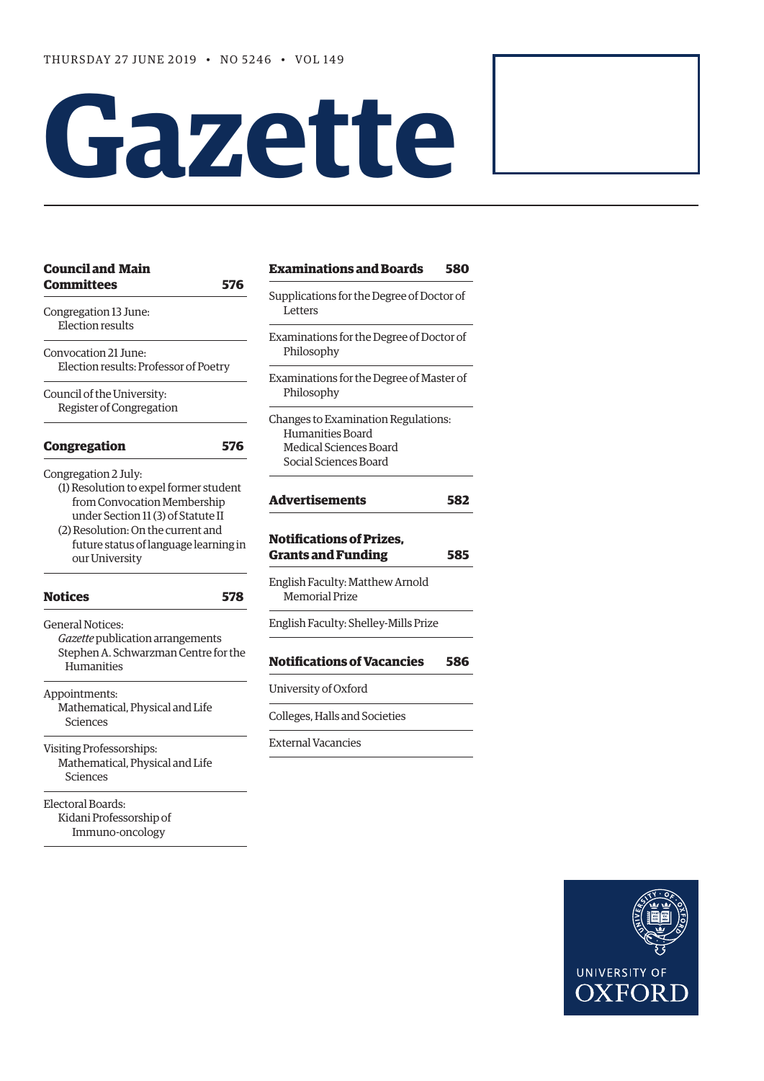# **Gazette**

| <b>Council and Main</b>                                                 |     | Exam           |
|-------------------------------------------------------------------------|-----|----------------|
| <b>Committees</b>                                                       | 576 |                |
| Congregation 13 June:<br><b>Election results</b>                        |     | Suppli<br>Lett |
|                                                                         |     | Exami          |
| Convocation 21 June:<br>Election results: Professor of Poetry           |     | Phil           |
|                                                                         |     | Exami          |
| Council of the University:<br>Register of Congregation                  |     | Phil           |
|                                                                         |     | Change         |
|                                                                         |     | Hur            |
| <b>Congregation</b>                                                     | 576 | Med            |
| Congregation 2 July:                                                    |     | Soc:           |
| (1) Resolution to expel former student<br>from Convocation Membership   |     | <b>Adve</b>    |
| under Section 11 (3) of Statute II                                      |     |                |
| (2) Resolution: On the current and                                      |     |                |
|                                                                         |     | Notifi         |
| future status of language learning in<br>our University                 |     | Grant          |
|                                                                         |     | English        |
| <b>Notices</b>                                                          | 578 | Mer            |
| General Notices:                                                        |     | English        |
| Gazette publication arrangements                                        |     |                |
| Stephen A. Schwarzman Centre for the<br>Humanities                      |     | <b>Notifi</b>  |
| Appointments:                                                           |     | Univer         |
| Mathematical, Physical and Life<br>Sciences                             |     | College        |
|                                                                         |     | Extern         |
| Visiting Professorships:<br>Mathematical, Physical and Life<br>Sciences |     |                |
| Electoral Boards:                                                       |     |                |
| Kidani Professorship of<br>Immuno-oncology                              |     |                |

| <b>Examinations and Boards</b>                                                                                    | 580 |
|-------------------------------------------------------------------------------------------------------------------|-----|
| Supplications for the Degree of Doctor of<br>Letters                                                              |     |
| Examinations for the Degree of Doctor of<br>Philosophy                                                            |     |
| Examinations for the Degree of Master of<br>Philosophy                                                            |     |
| Changes to Examination Regulations:<br>Humanities Board<br><b>Medical Sciences Board</b><br>Social Sciences Board |     |
| <b>Advertisements</b>                                                                                             | 582 |
| <b>Notifications of Prizes,</b><br><b>Grants and Funding</b>                                                      | 585 |
| English Faculty: Matthew Arnold<br><b>Memorial Prize</b>                                                          |     |
| English Faculty: Shelley-Mills Prize                                                                              |     |
| <b>Notifications of Vacancies</b>                                                                                 | 586 |
| University of Oxford                                                                                              |     |
| Colleges, Halls and Societies                                                                                     |     |
| <b>External Vacancies</b>                                                                                         |     |

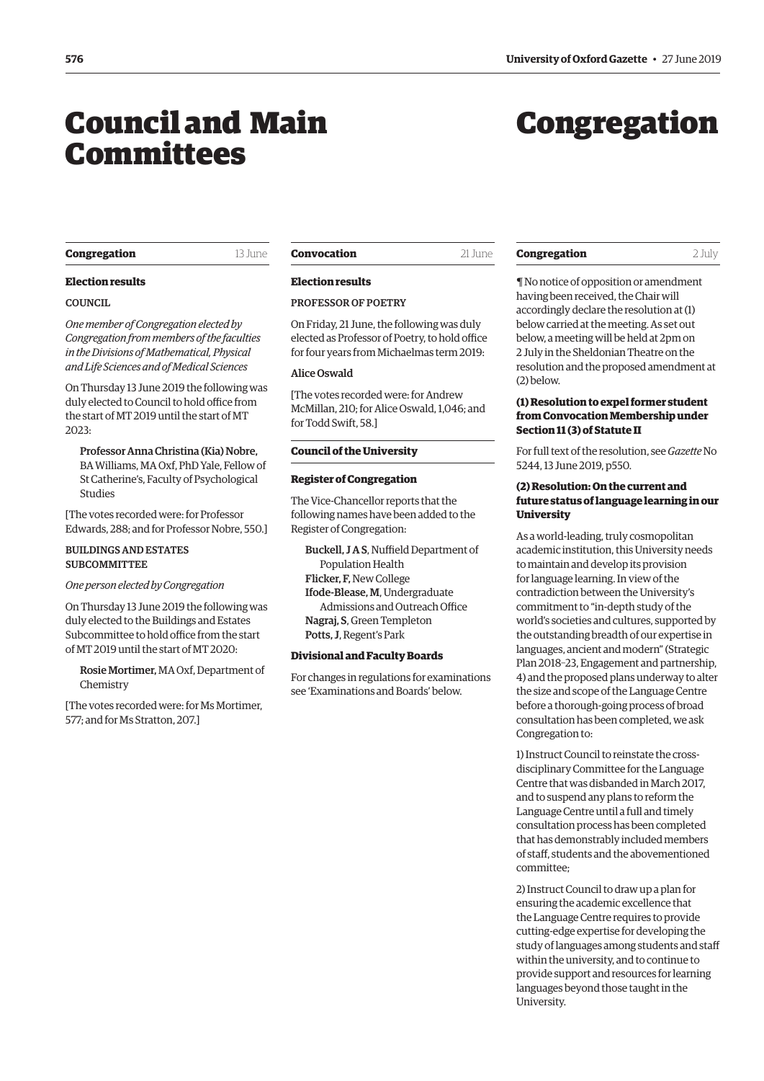## <span id="page-1-0"></span>Council and Main Committees

# Congregation

#### **Congregation** 13 June

**Election results** 

*One member of Congregation elected by Congregation from members of the faculties in the Divisions of Mathematical, Physical and Life Sciences and of Medical Sciences* On Thursday 13 June 2019 the following was duly elected to Council to hold office from the start of MT 2019 until the start of MT

Professor Anna Christina (Kia) Nobre, BA Williams, MA Oxf, PhD Yale, Fellow of St Catherine's, Faculty of Psychological

[The votes recorded were: for Professor Edwards, 288; and for Professor Nobre, 550.]

*One person elected by Congregation*

On Thursday 13 June 2019 the following was duly elected to the Buildings and Estates Subcommittee to hold office from the start of MT 2019 until the start of MT 2020:

Rosie Mortimer, MA Oxf, Department of

[The votes recorded were: for Ms Mortimer,

577; and for Ms Stratton, 207.]

BUILDINGS AND ESTATES **SUBCOMMITTEE** 

COUNCIL

2023:

Studies

Chemistry

**Convocation** 21 June

#### **Election results**

#### PROFESSOR OF POETRY

On Friday, 21 June, the following was duly elected as Professor of Poetry, to hold office for four years from Michaelmas term 2019:

#### Alice Oswald

[The votes recorded were: for Andrew McMillan, 210; for Alice Oswald, 1,046; and for Todd Swift, 58.]

#### **Council of the University**

#### **Register of Congregation**

The Vice-Chancellor reports that the following names have been added to the Register of Congregation:

Buckell, J A S, Nuffield Department of Population Health Flicker, F, New College Ifode-Blease, M, Undergraduate Admissions and Outreach Office Nagraj, S, Green Templeton Potts, J, Regent's Park

#### **Divisional and Faculty Boards**

For changes in regulations for examinations see ['Examinations and Boards' b](#page-6-0)elow.

#### **Congregation** 2 July

¶ No notice of opposition or amendment having been received, the Chair will accordingly declare the resolution at (1) below carried at the meeting. As set out below, a meeting will be held at 2pm on 2 July in the Sheldonian Theatre on the resolution and the proposed amendment at (2) below.

#### **(1) Resolution to expel former student from Convocation Membership under Section 11 (3) of Statute II**

[For full text of the resolution, see](https://gazette.web.ox.ac.uk/files/13june2019-no5244redactedpdf#page=4) *Gazette* No 5244, 13 June 2019, p550.

#### **(2) Resolution: On the current and future status of language learning in our University**

As a world-leading, truly cosmopolitan academic institution, this University needs to maintain and develop its provision for language learning. In view of the contradiction between the University's commitment to "in-depth study of the world's societies and cultures, supported by the outstanding breadth of our expertise in languages, ancient and modern" (Strategic Plan 2018–23, Engagement and partnership, 4) and the proposed plans underway to alter the size and scope of the Language Centre before a thorough-going process of broad consultation has been completed, we ask Congregation to:

1) Instruct Council to reinstate the crossdisciplinary Committee for the Language Centre that was disbanded in March 2017, and to suspend any plans to reform the Language Centre until a full and timely consultation process has been completed that has demonstrably included members of staff, students and the abovementioned committee;

2) Instruct Council to draw up a plan for ensuring the academic excellence that the Language Centre requires to provide cutting-edge expertise for developing the study of languages among students and staff within the university, and to continue to provide support and resources for learning languages beyond those taught in the University.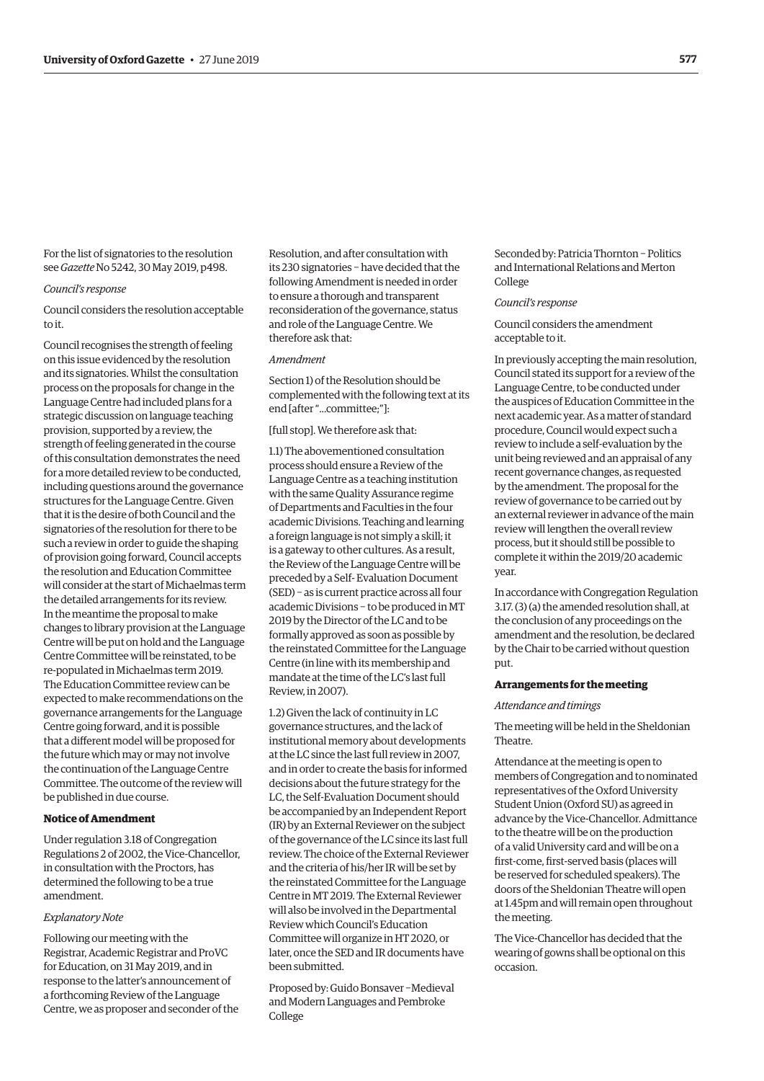<span id="page-2-0"></span>For the list of signatories to the resolution see *Gazette* [No 5242, 30 May 2019, p498.](https://gazette.web.ox.ac.uk/sites/default/files/gazette/documents/media/30_may_2019_-_no_5242_redacted.pdf#page=4) 

#### *Council's response*

Council considers the resolution acceptable to it.

Council recognises the strength of feeling on this issue evidenced by the resolution and its signatories. Whilst the consultation process on the proposals for change in the Language Centre had included plans for a strategic discussion on language teaching provision, supported by a review, the strength of feeling generated in the course of this consultation demonstrates the need for a more detailed review to be conducted, including questions around the governance structures for the Language Centre. Given that it is the desire of both Council and the signatories of the resolution for there to be such a review in order to guide the shaping of provision going forward, Council accepts the resolution and Education Committee will consider at the start of Michaelmas term the detailed arrangements for its review. In the meantime the proposal to make changes to library provision at the Language Centre will be put on hold and the Language Centre Committee will be reinstated, to be re-populated in Michaelmas term 2019. The Education Committee review can be expected to make recommendations on the governance arrangements for the Language Centre going forward, and it is possible that a different model will be proposed for the future which may or may not involve the continuation of the Language Centre Committee. The outcome of the review will be published in due course.

#### **Notice of Amendment**

Under regulation 3.18 of Congregation Regulations 2 of 2002, the Vice-Chancellor, in consultation with the Proctors, has determined the following to be a true amendment.

#### *Explanatory Note*

Following our meeting with the Registrar, Academic Registrar and ProVC for Education, on 31 May 2019, and in response to the latter's announcement of a forthcoming Review of the Language Centre, we as proposer and seconder of the

Resolution, and after consultation with its 230 signatories − have decided that the following Amendment is needed in order to ensure a thorough and transparent reconsideration of the governance, status and role of the Language Centre. We therefore ask that:

#### *Amendment*

Section 1) of the Resolution should be complemented with the following text at its end [after "...committee;"]:

[full stop]. We therefore ask that:

1.1) The abovementioned consultation process should ensure a Review of the Language Centre as a teaching institution with the same Quality Assurance regime of Departments and Faculties in the four academic Divisions. Teaching and learning a foreign language is not simply a skill; it is a gateway to other cultures. As a result, the Review of the Language Centre will be preceded by a Self- Evaluation Document (SED) − as is current practice across all four academic Divisions − to be produced in MT 2019 by the Director of the LC and to be formally approved as soon as possible by the reinstated Committee for the Language Centre (in line with its membership and mandate at the time of the LC's last full Review, in 2007).

1.2) Given the lack of continuity in LC governance structures, and the lack of institutional memory about developments at the LC since the last full review in 2007, and in order to create the basis for informed decisions about the future strategy for the LC, the Self-Evaluation Document should be accompanied by an Independent Report (IR) by an External Reviewer on the subject of the governance of the LC since its last full review. The choice of the External Reviewer and the criteria of his/her IR will be set by the reinstated Committee for the Language Centre in MT 2019. The External Reviewer will also be involved in the Departmental Review which Council's Education Committee will organize in HT 2020, or later, once the SED and IR documents have been submitted.

Proposed by: Guido Bonsaver −Medieval and Modern Languages and Pembroke College

Seconded by: Patricia Thornton − Politics and International Relations and Merton College

#### *Council's response*

Council considers the amendment acceptable to it.

In previously accepting the main resolution, Council stated its support for a review of the Language Centre, to be conducted under the auspices of Education Committee in the next academic year. As a matter of standard procedure, Council would expect such a review to include a self-evaluation by the unit being reviewed and an appraisal of any recent governance changes, as requested by the amendment. The proposal for the review of governance to be carried out by an external reviewer in advance of the main review will lengthen the overall review process, but it should still be possible to complete it within the 2019/20 academic year.

In accordance with Congregation Regulation 3.17. (3) (a) the amended resolution shall, at the conclusion of any proceedings on the amendment and the resolution, be declared by the Chair to be carried without question put.

#### **Arrangements for the meeting**

#### *Attendance and timings*

The meeting will be held in the Sheldonian Theatre.

Attendance at the meeting is open to members of Congregation and to nominated representatives of the Oxford University Student Union (Oxford SU) as agreed in advance by the Vice-Chancellor. Admittance to the theatre will be on the production of a valid University card and will be on a first-come, first-served basis (places will be reserved for scheduled speakers). The doors of the Sheldonian Theatre will open at 1.45pm and will remain open throughout the meeting.

The Vice-Chancellor has decided that the wearing of gowns shall be optional on this occasion.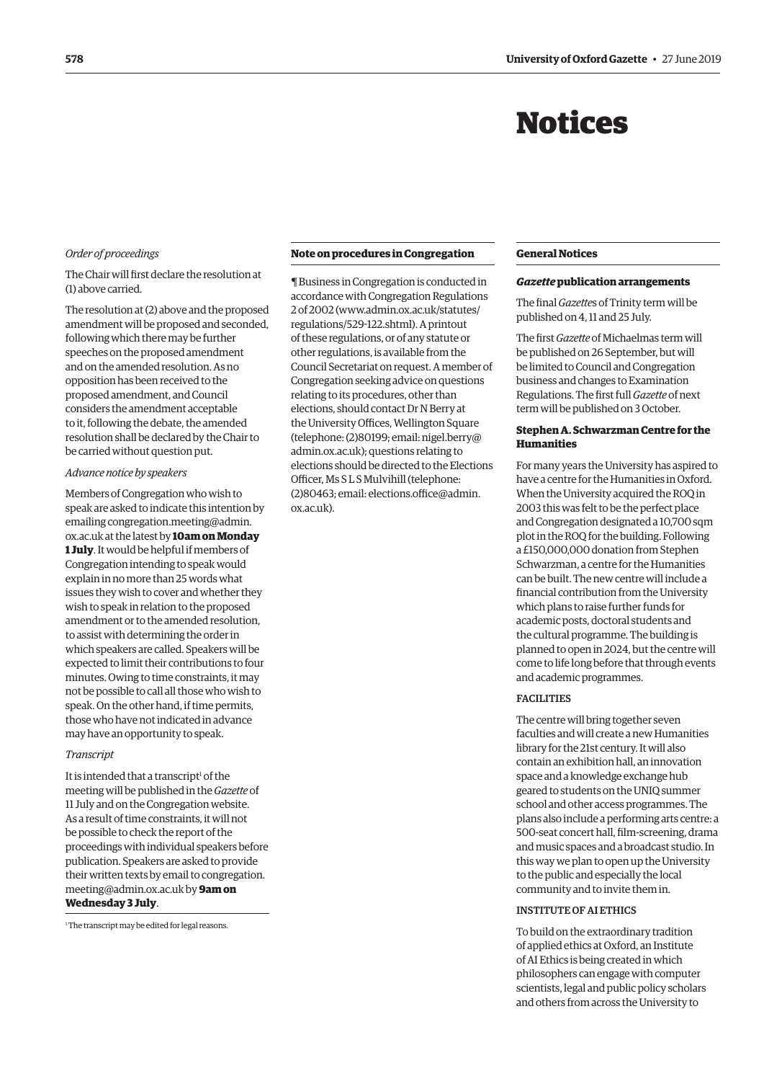## Notices

#### <span id="page-3-0"></span>*Order of proceedings*

The Chair will first declare the resolution at (1) above carried.

The resolution at (2) above and the proposed amendment will be proposed and seconded, following which there may be further speeches on the proposed amendment and on the amended resolution. As no opposition has been received to the proposed amendment, and Council considers the amendment acceptable to it, following the debate, the amended resolution shall be declared by the Chair to be carried without question put.

#### *Advance notice by speakers*

Members of Congregation who wish to speak are asked to indicate this intention by emailing congregation.meeting@admin. ox.ac.uk at the latest by **10am on Monday 1 July**. It would be helpful if members of Congregation intending to speak would explain in no more than 25 words what issues they wish to cover and whether they wish to speak in relation to the proposed amendment or to the amended resolution, to assist with determining the order in which speakers are called. Speakers will be expected to limit their contributions to four minutes. Owing to time constraints, it may not be possible to call all those who wish to speak. On the other hand, if time permits, those who have not indicated in advance may have an opportunity to speak.

#### *Transcript*

It is intended that a transcript<sup>1</sup> of the meeting will be published in the *Gazette* of 11 July and on the Congregation website. As a result of time constraints, it will not be possible to check the report of the proceedings with individual speakers before publication. Speakers are asked to provide [their written texts by email to congregation.](mailto:congregation.meeting@admin.ox.ac.uk) meeting@admin.ox.ac.uk by **9am on Wednesday 3 July**.

<sup>1</sup> The transcript may be edited for legal reasons.

#### **Note on procedures in Congregation**

¶ Business in Congregation is conducted in accordance with Congregation Regulations 2 of 2002 [\(www.admin.ox.ac.uk/statutes/](http://www.admin.ox.ac.uk/statutes/regulations/529-122.shtml) [regulations/529-122.shtml\). A p](http://www.admin.ox.ac.uk/statutes/regulations/529-122.shtml)rintout of these regulations, or of any statute or other regulations, is available from the Council Secretariat on request. A member of Congregation seeking advice on questions relating to its procedures, other than elections, should contact Dr N Berry at the University Offices, Wellington Square [\(telephone: \(2\)80199; email: nigel.berry@](mailto:nigel.berry@admin.ox.ac.uk) admin.ox.ac.uk); questions relating to elections should be directed to the Elections Officer, Ms S L S Mulvihill (telephone: [\(2\)80463; email: elections.office@admin.](mailto:elections.office@admin.ox.ac.uk) ox.ac.uk).

#### **General Notices**

#### *Gazette* **publication arrangements**

The final *Gazette*s of Trinity term will be published on 4, 11 and 25 July.

The first *Gazette* of Michaelmas term will be published on 26 September, but will be limited to Council and Congregation business and changes to Examination Regulations. The first full *Gazette* of next term will be published on 3 October.

#### **Stephen A. Schwarzman Centre for the Humanities**

For many years the University has aspired to have a centre for the Humanities in Oxford. When the University acquired the ROQ in 2003 this was felt to be the perfect place and Congregation designated a 10,700 sqm plot in the ROQ for the building. Following a £150,000,000 donation from Stephen Schwarzman, a centre for the Humanities can be built. The new centre will include a financial contribution from the University which plans to raise further funds for academic posts, doctoral students and the cultural programme. The building is planned to open in 2024, but the centre will come to life long before that through events and academic programmes.

#### FACILITIES

The centre will bring together seven faculties and will create a new Humanities library for the 21st century. It will also contain an exhibition hall, an innovation space and a knowledge exchange hub geared to students on the UNIQ summer school and other access programmes. The plans also include a performing arts centre: a 500-seat concert hall, film-screening, drama and music spaces and a broadcast studio. In this way we plan to open up the University to the public and especially the local community and to invite them in.

#### INSTITUTE OF AI ETHICS

To build on the extraordinary tradition of applied ethics at Oxford, an Institute of AI Ethics is being created in which philosophers can engage with computer scientists, legal and public policy scholars and others from across the University to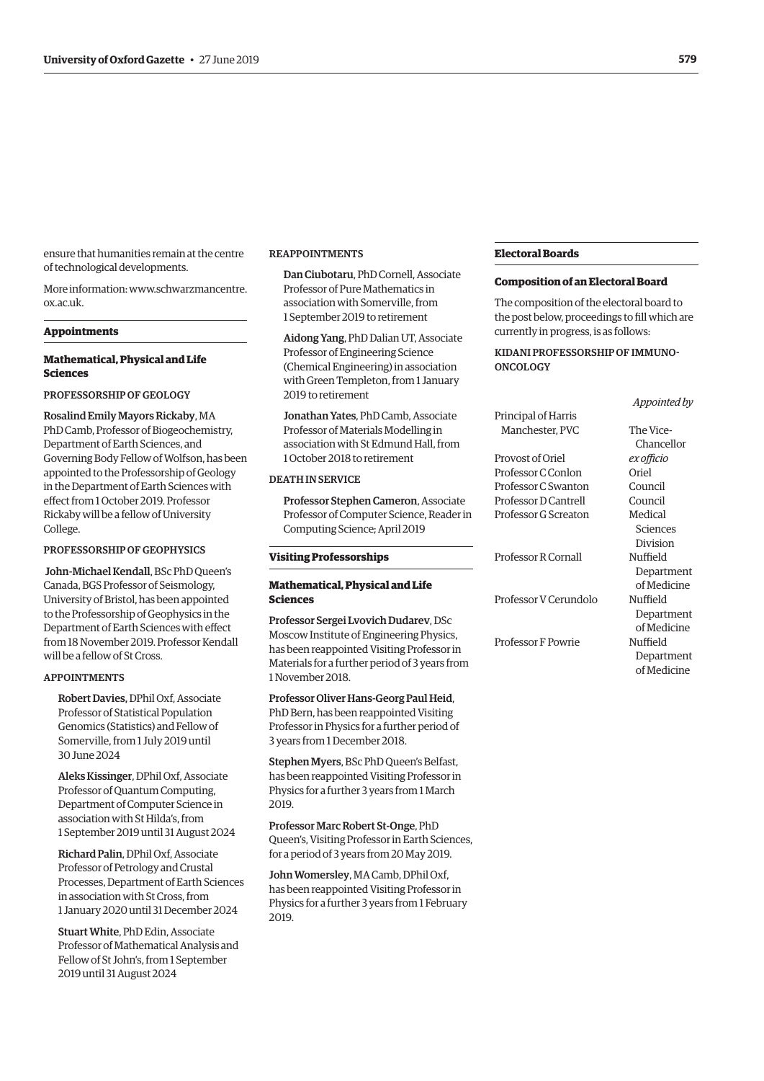ensure that humanities remain at the centre of technological developments.

More information: [www.schwarzmancentre.](http://www.schwarzmancentre.ox.ac.uk) [ox.ac.uk.](http://www.schwarzmancentre.ox.ac.uk)

#### **Appointments**

#### **Mathematical, Physical and Life Sciences**

PROFESSORSHIP OF GEOLOGY

Rosalind Emily Mayors Rickaby, MA PhD Camb, Professor of Biogeochemistry, Department of Earth Sciences, and Governing Body Fellow of Wolfson, has been appointed to the Professorship of Geology in the Department of Earth Sciences with effect from 1 October 2019. Professor Rickaby will be a fellow of University College.

#### PROFESSORSHIP OF GEOPHYSICS

John-Michael Kendall, BSc PhD Queen's Canada, BGS Professor of Seismology, University of Bristol, has been appointed to the Professorship of Geophysics in the Department of Earth Sciences with effect from 18 November 2019. Professor Kendall will be a fellow of St Cross.

#### APPOINTMENTS

Robert Davies, DPhil Oxf, Associate Professor of Statistical Population Genomics (Statistics) and Fellow of Somerville, from 1 July 2019 until 30 June 2024

Aleks Kissinger, DPhil Oxf, Associate Professor of Quantum Computing, Department of Computer Science in association with St Hilda's, from 1 September 2019 until 31 August 2024

Richard Palin, DPhil Oxf, Associate Professor of Petrology and Crustal Processes, Department of Earth Sciences in association with St Cross, from 1 January 2020 until 31 December 2024

Stuart White, PhD Edin, Associate Professor of Mathematical Analysis and Fellow of St John's, from 1 September 2019 until 31 August 2024

#### REAPPOINTMENTS

Dan Ciubotaru, PhD Cornell, Associate Professor of Pure Mathematics in association with Somerville, from 1 September 2019 to retirement

Aidong Yang, PhD Dalian UT, Associate Professor of Engineering Science (Chemical Engineering) in association with Green Templeton, from 1 January 2019 to retirement

Jonathan Yates, PhD Camb, Associate Professor of Materials Modelling in association with St Edmund Hall, from 1 October 2018 to retirement

#### DEATH IN SERVICE

Professor Stephen Cameron, Associate Professor of Computer Science, Reader in Computing Science; April 2019

#### **Visiting Professorships**

#### **Mathematical, Physical and Life Sciences**

Professor Sergei Lvovich Dudarev, DSc Moscow Institute of Engineering Physics, has been reappointed Visiting Professor in Materials for a further period of 3 years from 1 November 2018.

Professor Oliver Hans-Georg Paul Heid, PhD Bern, has been reappointed Visiting Professor in Physics for a further period of 3 years from 1 December 2018.

Stephen Myers, BSc PhD Queen's Belfast, has been reappointed Visiting Professor in Physics for a further 3 years from 1 March 2019.

Professor Marc Robert St-Onge, PhD Queen's, Visiting Professor in Earth Sciences, for a period of 3 years from 20 May 2019.

John Womersley, MA Camb, DPhil Oxf, has been reappointed Visiting Professor in Physics for a further 3 years from 1 February 2019.

#### **Electoral Boards**

#### **Composition of an Electoral Board**

The composition of the electoral board to the post below, proceedings to fill which are currently in progress, is as follows:

KIDANI PROFESSORSHIP OF IMMUNO-**ONCOLOGY** 

|                       | Appointed by |
|-----------------------|--------------|
| Principal of Harris   |              |
| Manchester, PVC       | The Vice-    |
|                       | Chancellor   |
| Provost of Oriel      | ex officio   |
| Professor C Conlon    | Oriel        |
| Professor C Swanton   | Council      |
| Professor D Cantrell  | Council      |
| Professor G Screaton  | Medical      |
|                       | Sciences     |
|                       | Division     |
| Professor R Cornall   | Nuffield     |
|                       | Department   |
|                       | of Medicine  |
| Professor V Cerundolo | Nuffield     |
|                       | Department   |
|                       | of Medicine  |
| Professor F Powrie    | Nuffield     |
|                       | Department   |
|                       | of Medicine  |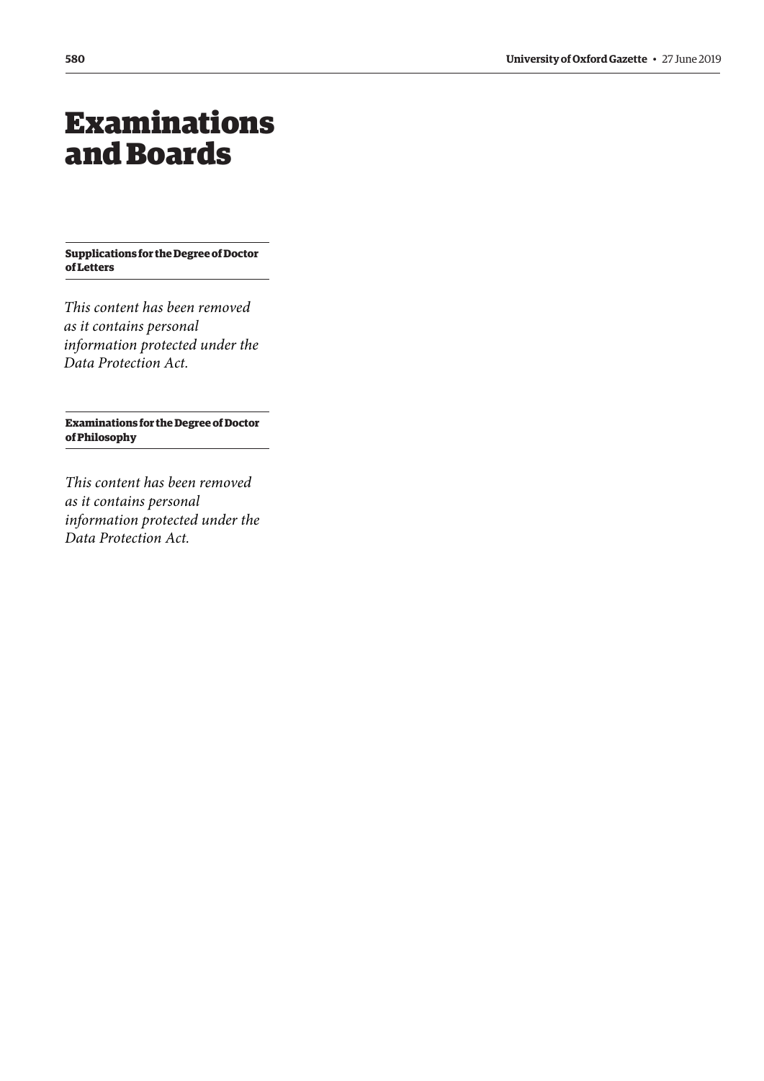## <span id="page-5-0"></span>Examinations and Boards

**Supplications for the Degree of Doctor of Letters**

*This content has been removed as it contains personal information protected under the Data Protection Act.*

**Examinations for the Degree of Doctor of Philosophy**

*This content has been removed as it contains personal information protected under the Data Protection Act.*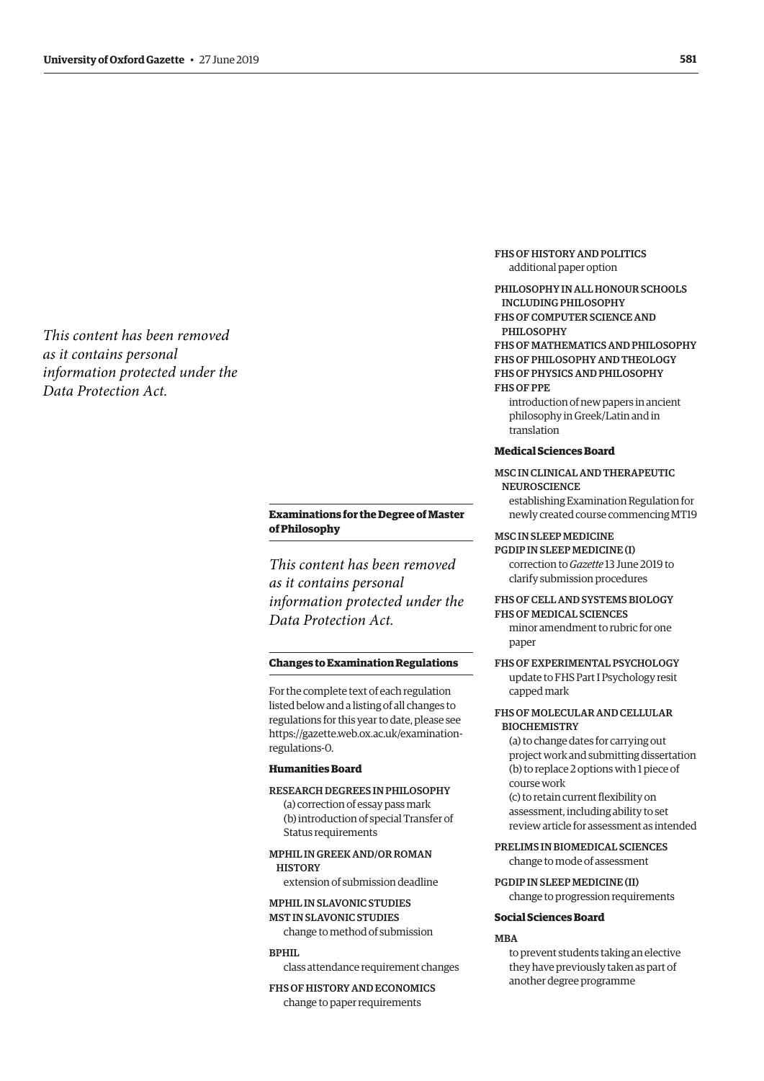<span id="page-6-0"></span>*This content has been removed as it contains personal information protected under the Data Protection Act.*

### **Examinations for the Degree of Master of Philosophy**

*This content has been removed as it contains personal information protected under the Data Protection Act.*

#### **Changes to Examination Regulations**

For the complete text of each regulation listed below and a listing of all changes to regulations for this year to date, please see [https://gazette.web.ox.ac.uk/examination](https://gazette.web.ox.ac.uk/examination-regulations-0)regulations-0.

#### **Humanities Board**

RESEARCH DEGREES IN PHILOSOPHY

(a) correction of essay pass mark (b) introduction of special Transfer of Status requirements

MPHIL IN GREEK AND/OR ROMAN **HISTORY** 

extension of submission deadline

#### MPHIL IN SLAVONIC STUDIES MST IN SLAVONIC STUDIES

change to method of submission

#### **BPHIL**

class attendance requirement changes

FHS OF HISTORY AND ECONOMICS change to paper requirements

FHS OF HISTORY AND POLITICS additional paper option

PHILOSOPHY IN ALL HONOUR SCHOOLS INCLUDING PHILOSOPHY FHS OF COMPUTER SCIENCE AND PHILOSOPHY FHS OF MATHEMATICS AND PHILOSOPHY FHS OF PHILOSOPHY AND THEOLOGY FHS OF PHYSICS AND PHILOSOPHY FHS OF PPE

introduction of new papers in ancient philosophy in Greek/Latin and in translation

#### **Medical Sciences Board**

#### MSC IN CLINICAL AND THERAPEUTIC **NEUROSCIENCE** establishing Examination Regulation for

newly created course commencing MT19

#### MSC IN SLEEP MEDICINE

PGDIP IN SLEEP MEDICINE (I) correction to *Gazette* 13 June 2019 to clarify submission procedures

## FHS OF CELL AND SYSTEMS BIOLOGY

FHS OF MEDICAL SCIENCES

minor amendment to rubric for one paper

FHS OF EXPERIMENTAL PSYCHOLOGY update to FHS Part I Psychology resit capped mark

#### FHS OF MOLECULAR AND CELLULAR **BIOCHEMISTRY**

(a) to change dates for carrying out project work and submitting dissertation (b) to replace 2 options with 1 piece of course work

(c) to retain current flexibility on assessment, including ability to set review article for assessment as intended

PRELIMS IN BIOMEDICAL SCIENCES change to mode of assessment

PGDIP IN SLEEP MEDICINE (II) change to progression requirements

#### **Social Sciences Board**

#### **MRA**

to prevent students taking an elective they have previously taken as part of another degree programme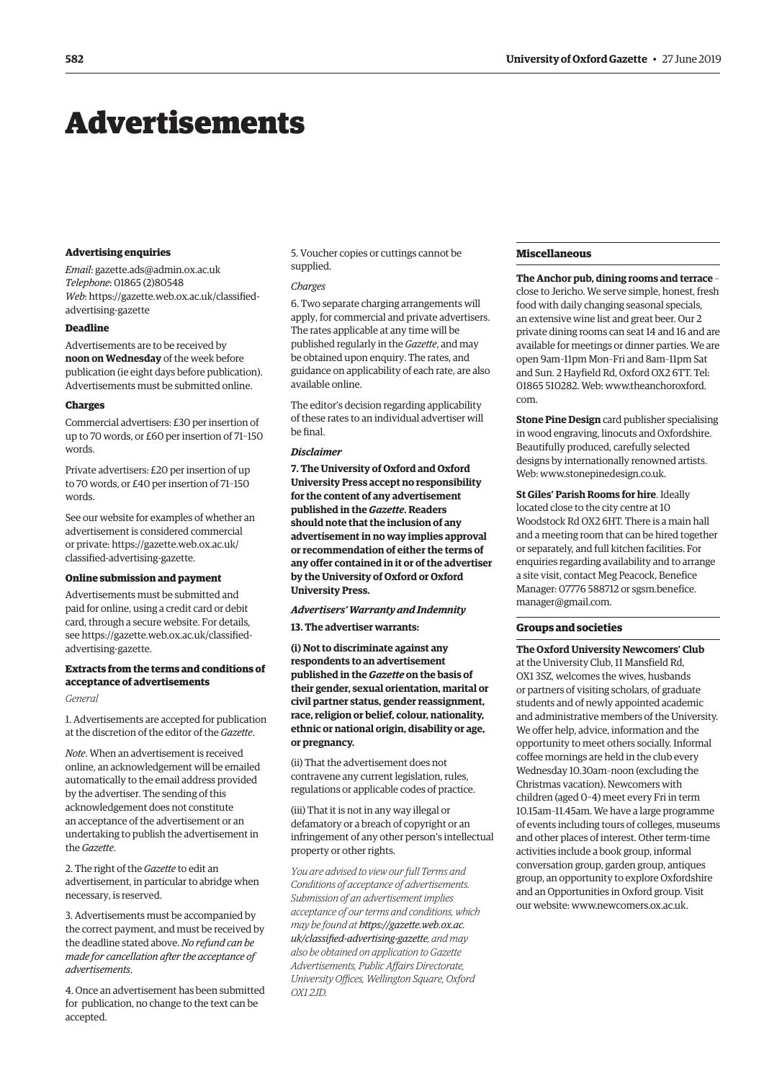## <span id="page-7-0"></span>Advertisements

#### **Advertising enquiries**

*Email*: [gazette.ads@admin.ox.ac.uk](mailto:gazette.ads@admin.ox.ac.uk) *Telephone*: 01865 (2)80548 *Web*[: https://gazette.web.ox.ac.uk/classified](https://gazette.web.ox.ac.uk/classified-advertising-gazette)advertising-gazette

#### **Deadline**

Advertisements are to be received by **noon on Wednesday** of the week before publication (ie eight days before publication). Advertisements must be submitted online.

#### **Charges**

Commercial advertisers: £30 per insertion of up to 70 words, or £60 per insertion of 71–150 words.

Private advertisers: £20 per insertion of up to 70 words, or £40 per insertion of 71–150 words.

See our website for examples of whether an advertisement is considered commercial [or private: https://gazette.web.ox.ac.uk/](https://gazette.web.ox.ac.uk/classified-advertising-gazette) classified-advertising-gazette.

#### **Online submission and payment**

Advertisements must be submitted and paid for online, using a credit card or debit card, through a secure website. For details, [see https://gazette.web.ox.ac.uk/classified](https://gazette.web.ox.ac.uk/classified-advertising-gazette)advertising-gazette.

#### **Extracts from the terms and conditions of acceptance of advertisements**

#### *General*

1. Advertisements are accepted for publication at the discretion of the editor of the *Gazette*.

*Note*. When an advertisement is received online, an acknowledgement will be emailed automatically to the email address provided by the advertiser. The sending of this acknowledgement does not constitute an acceptance of the advertisement or an undertaking to publish the advertisement in the *Gazette*.

2. The right of the *Gazette* to edit an advertisement, in particular to abridge when necessary, is reserved.

3. Advertisements must be accompanied by the correct payment, and must be received by the deadline stated above. *No refund can be made for cancellation after the acceptance of advertisements*.

4. Once an advertisement has been submitted for publication, no change to the text can be accepted.

5. Voucher copies or cuttings cannot be supplied.

#### *Charges*

6. Two separate charging arrangements will apply, for commercial and private advertisers. The rates applicable at any time will be published regularly in the *Gazette*, and may be obtained upon enquiry. The rates, and guidance on applicability of each rate, are also available online.

The editor's decision regarding applicability of these rates to an individual advertiser will be final.

#### *Disclaimer*

**7. The University of Oxford and Oxford University Press accept no responsibility for the content of any advertisement published in the** *Gazette***. Readers should note that the inclusion of any advertisement in no way implies approval or recommendation of either the terms of any offer contained in it or of the advertiser by the University of Oxford or Oxford University Press.**

#### *Advertisers' Warranty and Indemnity*

**13. The advertiser warrants:**

**(i) Not to discriminate against any respondents to an advertisement published in the** *Gazette* **on the basis of their gender, sexual orientation, marital or civil partner status, gender reassignment, race, religion or belief, colour, nationality, ethnic or national origin, disability or age, or pregnancy.**

(ii) That the advertisement does not contravene any current legislation, rules, regulations or applicable codes of practice.

(iii) That it is not in any way illegal or defamatory or a breach of copyright or an infringement of any other person's intellectual property or other rights.

*You are advised to view our full Terms and Conditions of acceptance of advertisements. Submission of an advertisement implies acceptance of our terms and conditions, which may be found at https://gazette.web.ox.ac. [uk/classified-advertising-gazette](https://gazette.web.ox.ac.uk/classified-advertising-gazette), and may also be obtained on application to Gazette Advertisements, Public Affairs Directorate, University Offices, Wellington Square, Oxford OX1 2JD.*

#### **Miscellaneous**

**The Anchor pub, dining rooms and terrace** – close to Jericho. We serve simple, honest, fresh food with daily changing seasonal specials, an extensive wine list and great beer. Our 2 private dining rooms can seat 14 and 16 and are available for meetings or dinner parties. We are open 9am–11pm Mon–Fri and 8am–11pm Sat and Sun. 2 Hayfield Rd, Oxford OX2 6TT. Tel: 01865 510282. Web: [www.theanchoroxford.](http://www.theanchoroxford.com) [com](http://www.theanchoroxford.com).

**Stone Pine Design** card publisher specialising in wood engraving, linocuts and Oxfordshire. Beautifully produced, carefully selected designs by internationally renowned artists. Web: [www.stonepinedesign.co.uk.](http://www.stonepinedesign.co.uk)

**St Giles' Parish Rooms for hire**. Ideally located close to the city centre at 10 Woodstock Rd OX2 6HT. There is a main hall and a meeting room that can be hired together or separately, and full kitchen facilities. For enquiries regarding availability and to arrange a site visit, contact Meg Peacock, Benefice Manager: 07776 588712 or [sgsm.benefice.](mailto:sgsm.benefice.manager@gmail.com) [manager@gmail.com](mailto:sgsm.benefice.manager@gmail.com).

#### **Groups and societies**

**The Oxford University Newcomers' Club** at the University Club, 11 Mansfield Rd, OX1 3SZ, welcomes the wives, husbands or partners of visiting scholars, of graduate students and of newly appointed academic and administrative members of the University. We offer help, advice, information and the opportunity to meet others socially. Informal coffee mornings are held in the club every Wednesday 10.30am–noon (excluding the Christmas vacation). Newcomers with children (aged 0–4) meet every Fri in term 10.15am–11.45am. We have a large programme of events including tours of colleges, museums and other places of interest. Other term-time activities include a book group, informal conversation group, garden group, antiques group, an opportunity to explore Oxfordshire and an Opportunities in Oxford group. Visit our website: [www.newcomers.ox.ac.uk.](http://www.newcomers.ox.ac.uk)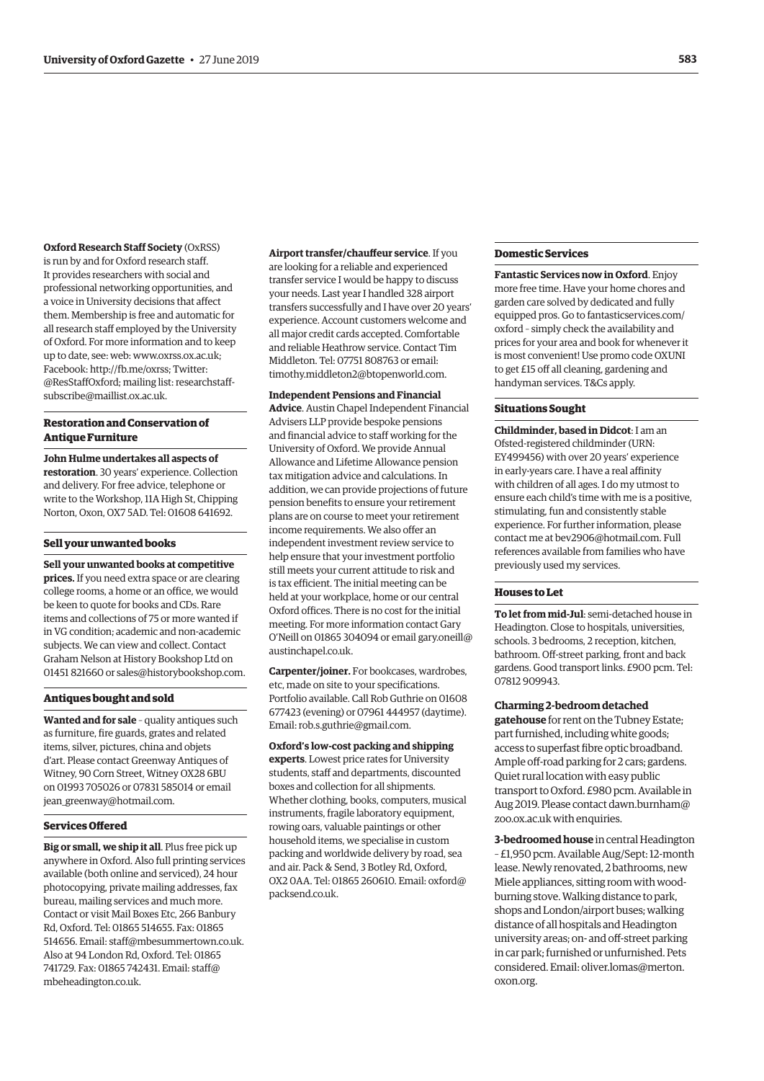#### **Oxford Research Staff Society** (OxRSS)

is run by and for Oxford research staff. It provides researchers with social and professional networking opportunities, and a voice in University decisions that affect them. Membership is free and automatic for all research staff employed by the University of Oxford. For more information and to keep up to date, see: web: [www.oxrss.ox.ac.uk;](http://www.oxrss.ox.ac.uk) Facebook:<http://fb.me/oxrss;> Twitter: @ResStaffOxford; mailing list: [researchstaff](mailto:researchstaff-subscribe@maillist.ox.ac.uk)[subscribe@maillist.ox.ac.uk.](mailto:researchstaff-subscribe@maillist.ox.ac.uk)

#### **Restoration and Conservation of Antique Furniture**

**John Hulme undertakes all aspects of restoration**. 30 years' experience. Collection and delivery. For free advice, telephone or write to the Workshop, 11A High St, Chipping Norton, Oxon, OX7 5AD. Tel: 01608 641692.

#### **Sell your unwanted books**

**Sell your unwanted books at competitive prices.** If you need extra space or are clearing college rooms, a home or an office, we would be keen to quote for books and CDs. Rare items and collections of 75 or more wanted if in VG condition; academic and non-academic subjects. We can view and collect. Contact Graham Nelson at History Bookshop Ltd on 01451 821660 or [sales@historybookshop.com.](mailto:sales@historybookshop.com)

#### **Antiques bought and sold**

**Wanted and for sale** – quality antiques such as furniture, fire guards, grates and related items, silver, pictures, china and objets d'art. Please contact Greenway Antiques of Witney, 90 Corn Street, Witney OX28 6BU on 01993 705026 or 07831 585014 or email [jean\\_greenway@hotmail.com.](mailto:jean_greenway@hotmail.com)

#### **Services Offered**

**Big or small, we ship it all**. Plus free pick up anywhere in Oxford. Also full printing services available (both online and serviced), 24 hour photocopying, private mailing addresses, fax bureau, mailing services and much more. Contact or visit Mail Boxes Etc, 266 Banbury Rd, Oxford. Tel: 01865 514655. Fax: 01865 514656. Email: [staff@mbesummertown.co.uk.](mailto:staff@mbesummertown.co.uk) Also at 94 London Rd, Oxford. Tel: 01865 741729. Fax: 01865 742431. Email: [staff@](mailto:staff@mbeheadington.co.uk) [mbeheadington.co.uk](mailto:staff@mbeheadington.co.uk).

**Airport transfer/chauffeur service**. If you are looking for a reliable and experienced transfer service I would be happy to discuss your needs. Last year I handled 328 airport transfers successfully and I have over 20 years' experience. Account customers welcome and all major credit cards accepted. Comfortable and reliable Heathrow service. Contact Tim Middleton. Tel: 07751 808763 or email: [timothy.middleton2@btopenworld.com.](mailto:timothy.middleton2@btopenworld.com)

#### **Independent Pensions and Financial**

**Advice**. Austin Chapel Independent Financial Advisers LLP provide bespoke pensions and financial advice to staff working for the University of Oxford. We provide Annual Allowance and Lifetime Allowance pension tax mitigation advice and calculations. In addition, we can provide projections of future pension benefits to ensure your retirement plans are on course to meet your retirement income requirements. We also offer an independent investment review service to help ensure that your investment portfolio still meets your current attitude to risk and is tax efficient. The initial meeting can be held at your workplace, home or our central Oxford offices. There is no cost for the initial meeting. For more information contact Gary O'Neill on 01865 304094 or email [gary.oneill@](mailto:gary.oneill@austinchapel.co.uk) [austinchapel.co.uk](mailto:gary.oneill@austinchapel.co.uk).

**Carpenter/joiner.** For bookcases, wardrobes, etc, made on site to your specifications. Portfolio available. Call Rob Guthrie on 01608 677423 (evening) or 07961 444957 (daytime). Email: [rob.s.guthrie@gmail.com.](mailto:rob.s.guthrie@gmail.com)

#### **Oxford's low-cost packing and shipping**

**experts**. Lowest price rates for University students, staff and departments, discounted boxes and collection for all shipments. Whether clothing, books, computers, musical instruments, fragile laboratory equipment, rowing oars, valuable paintings or other household items, we specialise in custom packing and worldwide delivery by road, sea and air. Pack & Send, 3 Botley Rd, Oxford, OX2 0AA. Tel: 01865 260610. Email: [oxford@](mailto:oxford@packsend.co.uk) [packsend.co.uk](mailto:oxford@packsend.co.uk).

#### **Domestic Services**

**Fantastic Services now in Oxford**. Enjoy more free time. Have your home chores and garden care solved by dedicated and fully equipped pros. Go to [fantasticservices.com/](http://fantasticservices.com/oxford) [oxford](http://fantasticservices.com/oxford) – simply check the availability and prices for your area and book for whenever it is most convenient! Use promo code OXUNI to get £15 off all cleaning, gardening and handyman services. T&Cs apply.

#### **Situations Sought**

**Childminder, based in Didcot**: I am an Ofsted-registered childminder (URN: EY499456) with over 20 years' experience in early-years care. I have a real affinity with children of all ages. I do my utmost to ensure each child's time with me is a positive, stimulating, fun and consistently stable experience. For further information, please contact me at [bev2906@hotmail.com.](mailto:bev2906@hotmail.com) Full references available from families who have previously used my services.

#### **Houses to Let**

**To let from mid-Jul**: semi-detached house in Headington. Close to hospitals, universities, schools. 3 bedrooms, 2 reception, kitchen, bathroom. Off-street parking, front and back gardens. Good transport links. £900 pcm. Tel: 07812 909943.

#### **Charming 2-bedroom detached**

**gatehouse** for rent on the Tubney Estate; part furnished, including white goods; access to superfast fibre optic broadband. Ample off-road parking for 2 cars; gardens. Quiet rural location with easy public transport to Oxford. £980 pcm. Available in Aug 2019. Please contact [dawn.burnham@](mailto:dawn.burnham@zoo.ox.ac.uk) [zoo.ox.ac.uk](mailto:dawn.burnham@zoo.ox.ac.uk) with enquiries.

**3-bedroomed house** in central Headington – £1,950 pcm. Available Aug/Sept: 12-month lease. Newly renovated, 2 bathrooms, new Miele appliances, sitting room with woodburning stove. Walking distance to park, shops and London/airport buses; walking distance of all hospitals and Headington university areas; on- and off-street parking in car park; furnished or unfurnished. Pets considered. Email: [oliver.lomas@merton.](mailto:oliver.lomas@merton.oxon.org) [oxon.org](mailto:oliver.lomas@merton.oxon.org).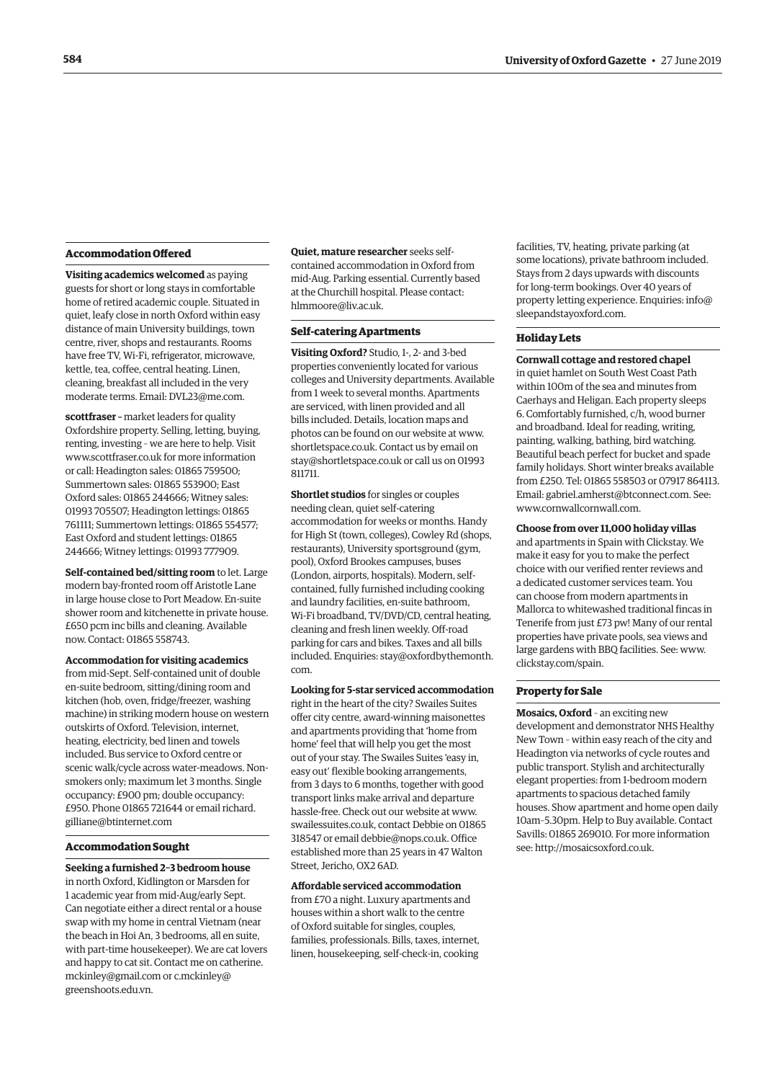#### <span id="page-9-0"></span>**Accommodation Offered**

**Visiting academics welcomed** as paying guests for short or long stays in comfortable home of retired academic couple. Situated in quiet, leafy close in north Oxford within easy distance of main University buildings, town centre, river, shops and restaurants. Rooms have free TV, Wi-Fi, refrigerator, microwave, kettle, tea, coffee, central heating. Linen, cleaning, breakfast all included in the very moderate terms. Email: [DVL23@me.com](mailto:DVL23@me.com).

**scottfraser –** market leaders for quality Oxfordshire property. Selling, letting, buying, renting, investing – we are here to help. Visit [www.scottfraser.co.uk](http://www.scottfraser.co.uk) for more information or call: Headington sales: 01865 759500; Summertown sales: 01865 553900; East Oxford sales: 01865 244666; Witney sales: 01993 705507; Headington lettings: 01865 761111; Summertown lettings: 01865 554577; East Oxford and student lettings: 01865 244666; Witney lettings: 01993 777909.

**Self-contained bed/sitting room** to let. Large modern bay-fronted room off Aristotle Lane in large house close to Port Meadow. En-suite shower room and kitchenette in private house. £650 pcm inc bills and cleaning. Available now. Contact: 01865 558743.

**Accommodation for visiting academics** from mid-Sept. Self-contained unit of double en-suite bedroom, sitting/dining room and kitchen (hob, oven, fridge/freezer, washing machine) in striking modern house on western outskirts of Oxford. Television, internet, heating, electricity, bed linen and towels included. Bus service to Oxford centre or scenic walk/cycle across water-meadows. Nonsmokers only; maximum let 3 months. Single occupancy: £900 pm; double occupancy: £950. Phone 01865 721644 or email [richard.](mailto:richard.gilliane@btinternet.com) [gilliane@btinternet.com](mailto:richard.gilliane@btinternet.com)

#### **Accommodation Sought**

**Seeking a furnished 2–3 bedroom house** in north Oxford, Kidlington or Marsden for 1 academic year from mid-Aug/early Sept. Can negotiate either a direct rental or a house swap with my home in central Vietnam (near the beach in Hoi An, 3 bedrooms, all en suite, with part-time housekeeper). We are cat lovers and happy to cat sit. Contact me on [catherine.](mailto:catherine.mckinley@gmail.com) [mckinley@gmail.com](mailto:catherine.mckinley@gmail.com) or [c.mckinley@](mailto:c.mckinley@greenshoots.edu.vn) [greenshoots.edu.vn.](mailto:c.mckinley@greenshoots.edu.vn)

**Quiet, mature researcher** seeks selfcontained accommodation in Oxford from mid-Aug. Parking essential. Currently based at the Churchill hospital. Please contact: [hlmmoore@liv.ac.uk](mailto:hlmmoore@liv.ac.uk).

#### **Self-catering Apartments**

**Visiting Oxford?** Studio, 1-, 2- and 3-bed properties conveniently located for various colleges and University departments. Available from 1 week to several months. Apartments are serviced, with linen provided and all bills included. Details, location maps and photos can be found on our website at [www.](http://www.shortletspace.co.uk) [shortletspace.co.uk](http://www.shortletspace.co.uk). Contact us by email on [stay@shortletspace.co.uk](mailto:stay@shortletspace.co.uk) or call us on 01993 811711.

**Shortlet studios** for singles or couples needing clean, quiet self-catering accommodation for weeks or months. Handy for High St (town, colleges), Cowley Rd (shops, restaurants), University sportsground (gym, pool), Oxford Brookes campuses, buses (London, airports, hospitals). Modern, selfcontained, fully furnished including cooking and laundry facilities, en-suite bathroom, Wi-Fi broadband, TV/DVD/CD, central heating, cleaning and fresh linen weekly. Off-road parking for cars and bikes. Taxes and all bills included. Enquiries: [stay@oxfordbythemonth.](mailto:stay@oxfordbythemonth.com) [com.](mailto:stay@oxfordbythemonth.com)

**Looking for 5-star serviced accommodation**

right in the heart of the city? Swailes Suites offer city centre, award-winning maisonettes and apartments providing that 'home from home' feel that will help you get the most out of your stay. The Swailes Suites 'easy in, easy out' flexible booking arrangements, from 3 days to 6 months, together with good transport links make arrival and departure hassle-free. Check out our website at [www.](http://www.swailessuites.co.uk) [swailessuites.co.uk](http://www.swailessuites.co.uk), contact Debbie on 01865 318547 or email [debbie@nops.co.uk](mailto:debbie@nops.co.uk). Office established more than 25 years in 47 Walton Street, Jericho, OX2 6AD.

#### **Affordable serviced accommodation**

from £70 a night. Luxury apartments and houses within a short walk to the centre of Oxford suitable for singles, couples, families, professionals. Bills, taxes, internet, linen, housekeeping, self-check-in, cooking facilities, TV, heating, private parking (at some locations), private bathroom included. Stays from 2 days upwards with discounts for long-term bookings. Over 40 years of property letting experience. Enquiries: [info@](mailto:info@sleepandstayoxford.com) [sleepandstayoxford.com](mailto:info@sleepandstayoxford.com).

#### **Holiday Lets**

**Cornwall cottage and restored chapel** in quiet hamlet on South West Coast Path within 100m of the sea and minutes from Caerhays and Heligan. Each property sleeps 6. Comfortably furnished, c/h, wood burner and broadband. Ideal for reading, writing, painting, walking, bathing, bird watching. Beautiful beach perfect for bucket and spade family holidays. Short winter breaks available from £250. Tel: 01865 558503 or 07917 864113. Email: [gabriel.amherst@btconnect.com](mailto:gabriel.amherst@btconnect.com). See: [www.cornwallcornwall.com.](http://www.cornwallcornwall.com)

#### **Choose from over 11,000 holiday villas**

and apartments in Spain with Clickstay. We make it easy for you to make the perfect choice with our verified renter reviews and a dedicated customer services team. You can choose from modern apartments in Mallorca to whitewashed traditional fincas in Tenerife from just £73 pw! Many of our rental properties have private pools, sea views and large gardens with BBQ facilities. See: [www.](http://www.clickstay.com/spain) [clickstay.com/spain.](http://www.clickstay.com/spain)

#### **Property for Sale**

**Mosaics, Oxford** – an exciting new development and demonstrator NHS Healthy New Town – within easy reach of the city and Headington via networks of cycle routes and public transport. Stylish and architecturally elegant properties: from 1-bedroom modern apartments to spacious detached family houses. Show apartment and home open daily 10am–5.30pm. Help to Buy available. Contact Savills: 01865 269010. For more information see:<http://mosaicsoxford.co.uk>.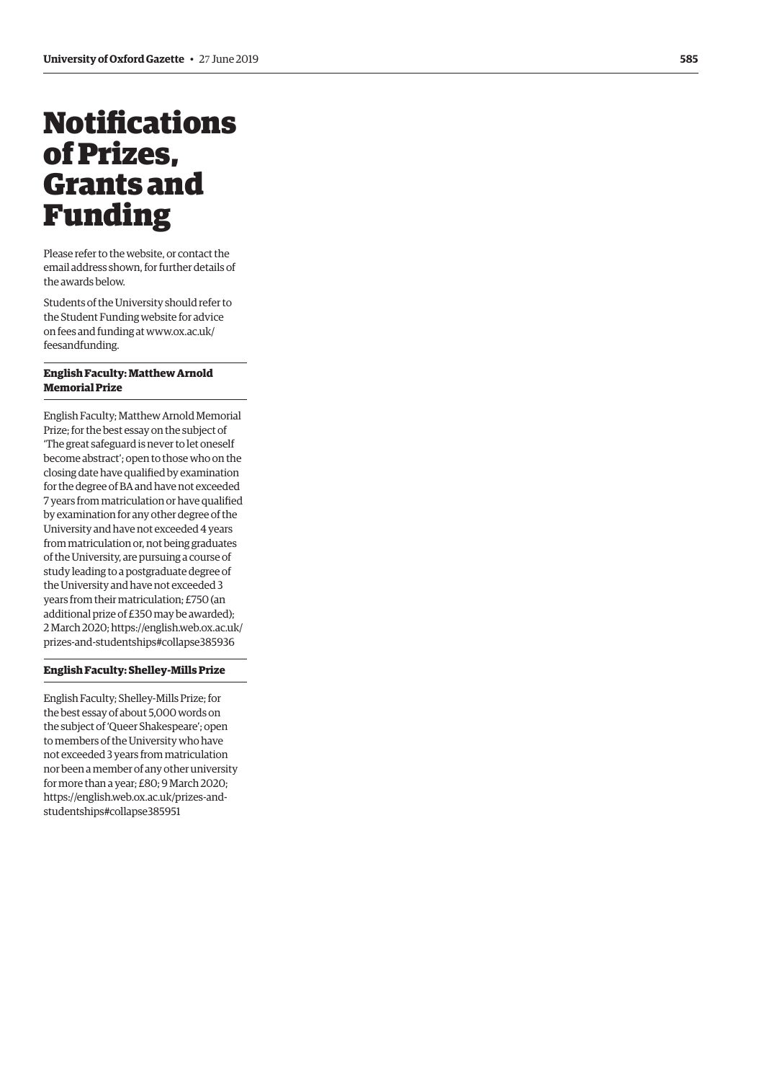# <span id="page-10-0"></span>Notifications of Prizes, Grants and Funding

Please refer to the website, or contact the email address shown, for further details of the awards below.

Students of the University should refer to the Student Funding website for advice on fees and funding at [www.ox.ac.uk/](http://www.ox.ac.uk/feesandfunding) [feesandfunding.](http://www.ox.ac.uk/feesandfunding)

#### **English Faculty: Matthew Arnold Memorial Prize**

English Faculty; Matthew Arnold Memorial Prize; for the best essay on the subject of 'The great safeguard is never to let oneself become abstract'; open to those who on the closing date have qualified by examination for the degree of BA and have not exceeded 7 years from matriculation or have qualified by examination for any other degree of the University and have not exceeded 4 years from matriculation or, not being graduates of the University, are pursuing a course of study leading to a postgraduate degree of the University and have not exceeded 3 years from their matriculation; £750 (an additional prize of £350 may be awarded); 2 March 2020; [https://english.web.ox.ac.uk/](https://english.web.ox.ac.uk/prizes-and-studentships#collapse385936) [prizes-and-studentships#collapse385936](https://english.web.ox.ac.uk/prizes-and-studentships#collapse385936)

#### **English Faculty: Shelley-Mills Prize**

English Faculty; Shelley-Mills Prize; for the best essay of about 5,000 words on the subject of 'Queer Shakespeare'; open to members of the University who have not exceeded 3 years from matriculation nor been a member of any other university for more than a year; £80; 9 March 2020; [https://english.web.ox.ac.uk/prizes-and](https://english.web.ox.ac.uk/prizes-and-studentships#collapse385951)[studentships#collapse385951](https://english.web.ox.ac.uk/prizes-and-studentships#collapse385951)